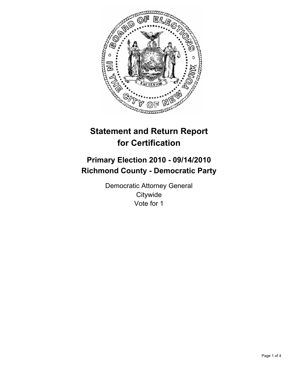

# **Statement and Return Report for Certification**

## **Primary Election 2010 - 09/14/2010 Richmond County - Democratic Party**

Democratic Attorney General **Citywide** Vote for 1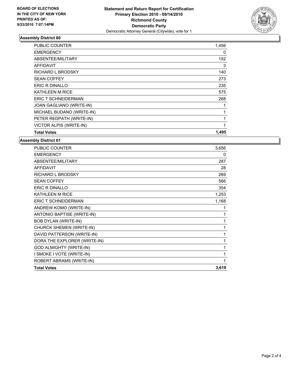

## **Assembly District 60**

| PUBLIC COUNTER             | 1,456 |
|----------------------------|-------|
| <b>EMERGENCY</b>           | 0     |
| ABSENTEE/MILITARY          | 152   |
| <b>AFFIDAVIT</b>           | 3     |
| <b>RICHARD L BRODSKY</b>   | 140   |
| <b>SEAN COFFEY</b>         | 273   |
| ERIC R DINALLO             | 235   |
| KATHLEEN M RICE            | 575   |
| <b>ERIC T SCHNEIDERMAN</b> | 268   |
| JOAN GAGLIANO (WRITE-IN)   | 1     |
| MICHAEL BUDANO (WRITE-IN)  | 1     |
| PETER REDPATH (WRITE-IN)   | 1     |
| VICTOR ALPIS (WRITE-IN)    | 1     |
| <b>Total Votes</b>         | 1,495 |

**Assembly District 61**

| <b>PUBLIC COUNTER</b>          | 3,656        |
|--------------------------------|--------------|
| <b>EMERGENCY</b>               | 0            |
| ABSENTEE/MILITARY              | 287          |
| <b>AFFIDAVIT</b>               | 28           |
| <b>RICHARD L BRODSKY</b>       | 269          |
| <b>SEAN COFFEY</b>             | 566          |
| <b>ERIC R DINALLO</b>          | 354          |
| <b>KATHLEEN M RICE</b>         | 1,253        |
| ERIC T SCHNEIDERMAN            | 1,168        |
| ANDREW KOMO (WRITE-IN)         | 1            |
| ANTONIO BAPTISE (WRITE-IN)     | 1            |
| <b>BOB DYLAN (WRITE-IN)</b>    | 1            |
| CHURCK SHEMEN (WRITE-IN)       | 1            |
| DAVID PATTERSON (WRITE-IN)     | 1            |
| DORA THE EXPLORER (WRITE-IN)   | 1            |
| <b>GOD ALMIGHTY (WRITE-IN)</b> | 1            |
| I SMOKE I VOTE (WRITE-IN)      | 1            |
| ROBERT ABRAMS (WRITE-IN)       | $\mathbf{1}$ |
| <b>Total Votes</b>             | 3,619        |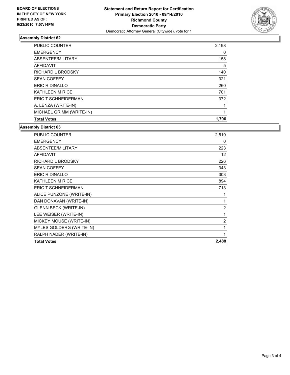

## **Assembly District 62**

| <b>Total Votes</b>         | 1,796 |
|----------------------------|-------|
| MICHAEL GRIMM (WRITE-IN)   | 1     |
| A. LENZA (WRITE-IN)        |       |
| <b>ERIC T SCHNEIDERMAN</b> | 372   |
| <b>KATHLEEN M RICE</b>     | 701   |
| ERIC R DINALLO             | 260   |
| <b>SEAN COFFEY</b>         | 321   |
| <b>RICHARD L BRODSKY</b>   | 140   |
| <b>AFFIDAVIT</b>           | 5     |
| ABSENTEE/MILITARY          | 158   |
| <b>EMERGENCY</b>           | 0     |
| <b>PUBLIC COUNTER</b>      | 2,198 |

#### **Assembly District 63**

| <b>PUBLIC COUNTER</b>        | 2,519          |
|------------------------------|----------------|
| <b>EMERGENCY</b>             | 0              |
| ABSENTEE/MILITARY            | 223            |
| <b>AFFIDAVIT</b>             | 12             |
| RICHARD L BRODSKY            | 226            |
| <b>SEAN COFFEY</b>           | 343            |
| <b>ERIC R DINALLO</b>        | 303            |
| <b>KATHLEEN M RICE</b>       | 894            |
| <b>ERIC T SCHNEIDERMAN</b>   | 713            |
| ALICE PUNZONE (WRITE-IN)     | 1              |
| DAN DONAVAN (WRITE-IN)       | 1              |
| <b>GLENN BECK (WRITE-IN)</b> | $\overline{2}$ |
| LEE WEISER (WRITE-IN)        | 1              |
| MICKEY MOUSE (WRITE-IN)      | 2              |
| MYLES GOLDERG (WRITE-IN)     | 1              |
| RALPH NADER (WRITE-IN)       | 1              |
| <b>Total Votes</b>           | 2,488          |